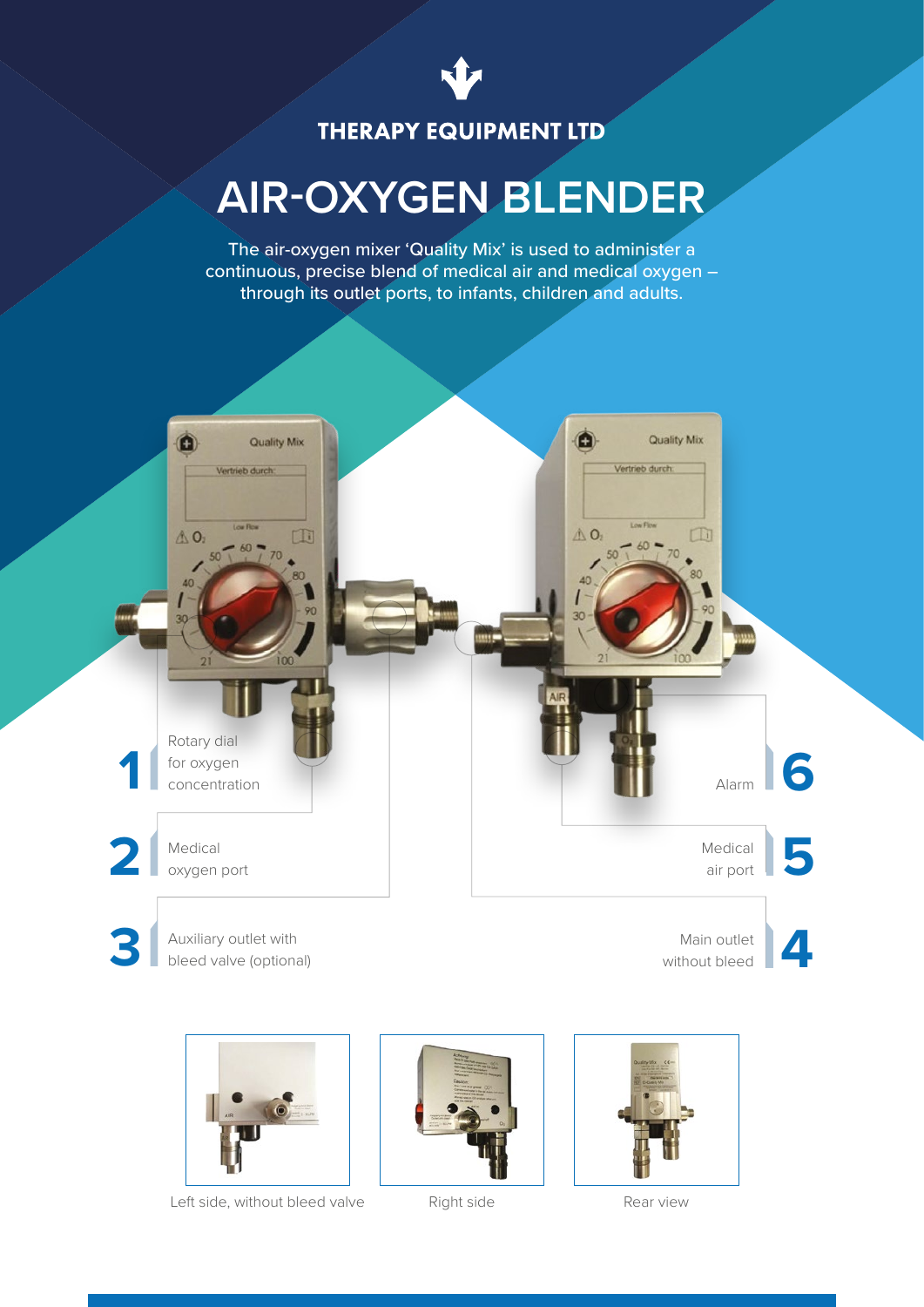

## **THERAPY EQUIPMENT LTD**

# **AIR-OXYGEN BLENDER**

The air-oxygen mixer 'Quality Mix' is used to administer a continuous, precise blend of medical air and medical oxygen – through its outlet ports, to infants, children and adults.





Left side, without bleed valve Right side Rear view